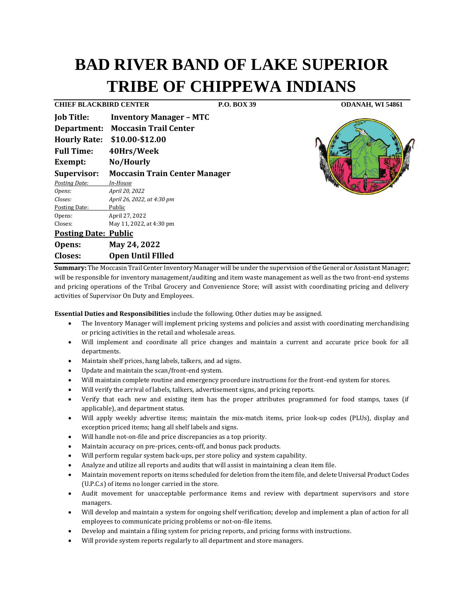# **BAD RIVER BAND OF LAKE SUPERIOR TRIBE OF CHIPPEWA INDIANS**

**CHIEF BLACKBIRD CENTER P.O. BOX 39 ODANAH, WI 54861 Job Title: Inventory Manager – MTC Department: Moccasin Trail Center Hourly Rate: \$10.00-\$12.00 Full Time: 40Hrs/Week Exempt: No/Hourly Supervisor: Moccasin Train Center Manager** *Posting Date: In-House Opens: April 20, 2022 Closes: April 26, 2022, at 4:30 pm* Posting Date: Public Opens: April 27, 2022 Closes: May 11, 2022, at 4:30 pm **Posting Date: Public Opens: May 24, 2022**

## **Closes: Open Until FIlled Summary:** The Moccasin Trail Center Inventory Manager will be under the supervision of the General or Assistant Manager;

will be responsible for inventory management/auditing and item waste management as well as the two front-end systems and pricing operations of the Tribal Grocery and Convenience Store; will assist with coordinating pricing and delivery activities of Supervisor On Duty and Employees.

**Essential Duties and Responsibilities** include the following. Other duties may be assigned.

- The Inventory Manager will implement pricing systems and policies and assist with coordinating merchandising or pricing activities in the retail and wholesale areas.
- Will implement and coordinate all price changes and maintain a current and accurate price book for all departments.
- Maintain shelf prices, hang labels, talkers, and ad signs.
- Update and maintain the scan/front-end system.
- Will maintain complete routine and emergency procedure instructions for the front-end system for stores.
- Will verify the arrival of labels, talkers, advertisement signs, and pricing reports.
- Verify that each new and existing item has the proper attributes programmed for food stamps, taxes (if applicable), and department status.
- Will apply weekly advertise items; maintain the mix-match items, price look-up codes (PLUs), display and exception priced items; hang all shelf labels and signs.
- Will handle not-on-file and price discrepancies as a top priority.
- Maintain accuracy on pre-prices, cents-off, and bonus pack products.
- Will perform regular system back-ups, per store policy and system capability.
- Analyze and utilize all reports and audits that will assist in maintaining a clean item file.
- Maintain movement reports on items scheduled for deletion from the item file, and delete Universal Product Codes (U.P.C.s) of items no longer carried in the store.
- Audit movement for unacceptable performance items and review with department supervisors and store managers.
- Will develop and maintain a system for ongoing shelf verification; develop and implement a plan of action for all employees to communicate pricing problems or not-on-file items.
- Develop and maintain a filing system for pricing reports, and pricing forms with instructions.
- Will provide system reports regularly to all department and store managers.